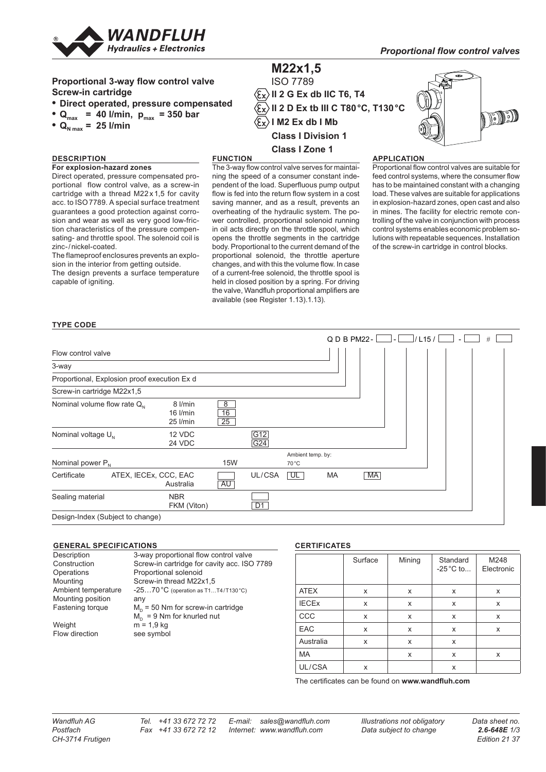

#### **M22x1,5** ISO 7789 **Proportional 3-way flow control valve Screw-in cartridge**  $\langle \overline{\epsilon_{\mathbf{x}}} \rangle$ II 2 G Ex db IIC T6, T4 **• Direct operated, pressure compensated II 2 D Ex tb III C T80°C, T130°C** DJJ •  $Q_{\text{max}}$  = 40 l/min,  $p_{\text{max}}$  = 350 bar  $\langle \widehat{\epsilon_{\mathbf{x}}} \rangle$  I M2 Ex db I Mb •  $Q_{N \max} = 25$  l/min **Class I Division 1 Class I Zone 1 DESCRIPTION FUNCTION APPLICATION For explosion-hazard zones** The 3-way flow control valve serves for maintai-Proportional flow control valves are suitable for Direct operated, pressure compensated proning the speed of a consumer constant indefeed control systems, where the consumer flow portional flow control valve, as a screw-in pendent of the load. Superfluous pump output has to be maintained constant with a changing load. These valves are suitable for applications cartridge with a thread M22 x 1,5 for cavity flow is fed into the return flow system in a cost acc. to ISO7789. A special surface treatment saving manner, and as a result, prevents an in explosion-hazard zones, open cast and also guarantees a good protection against corrooverheating of the hydraulic system. The poin mines. The facility for electric remote consion and wear as well as very good low-fricwer controlled, proportional solenoid running trolling of the valve in conjunction with process tion characteristics of the pressure compenin oil acts directly on the throttle spool, which control systems enables economic problem sosating- and throttle spool. The solenoid coil is opens the throttle segments in the cartridge lutions with repeatable sequences. Installation zinc-/nickel-coated. body. Proportional to the current demand of the of the screw-in cartridge in control blocks. The flameproof enclosures prevents an exploproportional solenoid, the throttle aperture

sion in the interior from getting outside.

The design prevents a surface temperature capable of igniting.

changes, and with this the volume flow. In case of a current-free solenoid, the throttle spool is held in closed position by a spring. For driving the valve, Wandfluh proportional amplifiers are available (see Register 1.13).1.13).

### **TYPE CODE**

|                                              |                                     |               |                |                            | $Q D B P M 22 -$ |           | /115/ |  |
|----------------------------------------------|-------------------------------------|---------------|----------------|----------------------------|------------------|-----------|-------|--|
| Flow control valve                           |                                     |               |                |                            |                  |           |       |  |
| 3-way                                        |                                     |               |                |                            |                  |           |       |  |
| Proportional, Explosion proof execution Ex d |                                     |               |                |                            |                  |           |       |  |
| Screw-in cartridge M22x1,5                   |                                     |               |                |                            |                  |           |       |  |
| Nominal volume flow rate $Q_N$               | 8 l/min<br>$16$ $l/min$<br>25 l/min | 8<br>16<br>25 |                |                            |                  |           |       |  |
| Nominal voltage $U_{N}$                      | 12 VDC<br>24 VDC                    |               | G12<br>G24     |                            |                  |           |       |  |
| Nominal power $P_{N}$                        |                                     | <b>15W</b>    |                | Ambient temp. by:<br>70 °C |                  |           |       |  |
| Certificate<br>ATEX, IECEx, CCC, EAC         | Australia                           | AU            | UL/CSA         | UL                         | MA               | <b>MA</b> |       |  |
| Sealing material                             | <b>NBR</b><br>FKM (Viton)           |               | D <sub>1</sub> |                            |                  |           |       |  |
| Design-Index (Subject to change)             |                                     |               |                |                            |                  |           |       |  |

### **GENERAL SPECIFICATIONS**

Operations Proportional solenoid<br>
Mounting Screw-in thread M22 Mounting position any<br>Fastening torque  $M_{\odot}$ 

Weight  $m = 1.9$  kg<br>Flow direction see symbo

Description 3-way proportional flow control valve Construction Screw-in cartridge for cavity acc. ISO 7789<br>
Constations Proportional solenoid Mounting Screw-in thread M22x1,5<br>Ambient temperature  $-25...70$  °C (operation as T1.  $-25...70 °C$  (operation as T1…T4/T130°C)  $M_p = 50$  Nm for screw-in cartridge  $M_D = 9$  Nm for knurled nut see symbol

### **CERTIFICATES**

|              | Surface | Mining | Standard<br>$-25^{\circ}$ C to | M248<br>Electronic |
|--------------|---------|--------|--------------------------------|--------------------|
| <b>ATEX</b>  | X       | X      | X                              | X                  |
| <b>IECEX</b> | X       | x      | X                              | X                  |
| CCC          | x       | X      | X                              | X                  |
| <b>EAC</b>   | X       | X      | X                              | X                  |
| Australia    | X       | X      | X                              |                    |
| <b>MA</b>    |         | X      | X                              | X                  |
| UL/CSA       | x       |        | X                              |                    |

The certificates can be found on **www.wandfluh.com**

*Wandfluh AG Tel. +41 33 672 72 72 E-mail: sales@wandfluh.com Illustrations not obligatory Data sheet no.*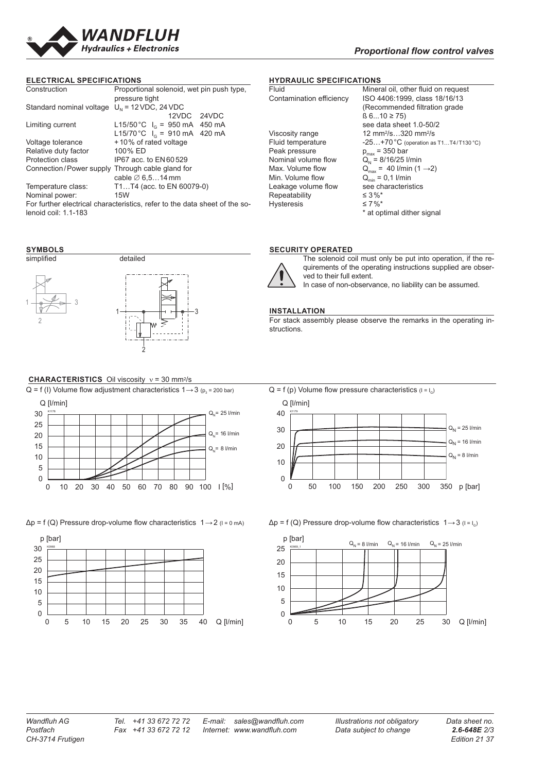

### **ELECTRICAL SPECIFICATIONS**

| Construction             | Proportional solenoid, wet pin push type,                                  |
|--------------------------|----------------------------------------------------------------------------|
|                          | pressure tight                                                             |
| Standard nominal voltage | $UN$ = 12 VDC, 24 VDC                                                      |
|                          | 12VDC 24VDC                                                                |
| Limiting current         | L15/50 °C $I_c = 950$ mA<br>450 mA                                         |
|                          | L15/70 °C $I_0$ = 910 mA 420 mA                                            |
| Voltage tolerance        | +10% of rated voltage                                                      |
| Relative duty factor     | 100% ED                                                                    |
| <b>Protection class</b>  | IP67 acc. to EN60529                                                       |
| Connection/Power supply  | Through cable gland for                                                    |
|                          | cable $\varnothing$ 6.514 mm                                               |
| Temperature class:       | T1T4 (acc. to EN 60079-0)                                                  |
| Nominal power:           | 15W                                                                        |
|                          | For further electrical characteristics, refer to the data sheet of the so- |
| lenoid coil: 1.1-183     |                                                                            |

### **SYMBOLS**



### **CHARACTERISTICS** Oil viscosity ν = 30 mm2/s





 $\Delta p = f(Q)$  Pressure drop-volume flow characteristics  $1 \rightarrow 2$  ( $1 = 0$  mA)  $\Delta p = f(Q)$  Pressure drop-volume flow characteristics  $1 \rightarrow 3$  ( $1 = I_0$ )



# **HYDRAULIC SPECIFICATIONS**<br>Fluid Minera

| Mineral oil, other fluid on request         |
|---------------------------------------------|
| ISO 4406:1999, class 18/16/13               |
| (Recommended filtration grade               |
| $\beta$ 610 ≥ 75)                           |
| see data sheet 1.0-50/2                     |
| 12 mm <sup>2</sup> /s320 mm <sup>2</sup> /s |
| $-25+70$ °C (operation as T1T4/T130 °C)     |
| $p_{max}$ = 350 bar                         |
| $Q_{N} = 8/16/25$ I/min                     |
| $Q_{max} = 40$ l/min (1 $\rightarrow$ 2)    |
| $Q_{\min} = 0.1$ I/min                      |
| see characteristics                         |
| $\leq 3\%$ *                                |
| $\leq 7\%$ *                                |
| * at optimal dither signal                  |
|                                             |

### **SECURITY OPERATED**



The solenoid coil must only be put into operation, if the requirements of the operating instructions supplied are observed to their full extent.

In case of non-observance, no liability can be assumed.

### **INSTALLATION**

For stack assembly please observe the remarks in the operating instructions.